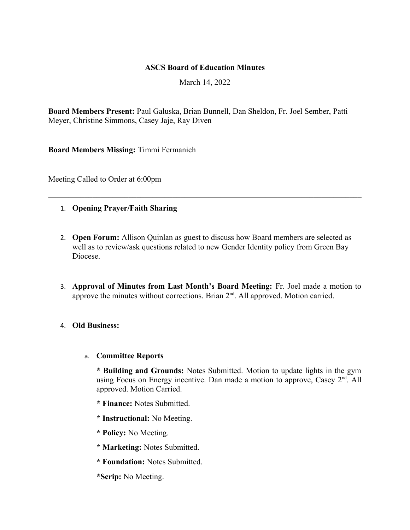#### **ASCS Board of Education Minutes**

March 14, 2022

**Board Members Present:** Paul Galuska, Brian Bunnell, Dan Sheldon, Fr. Joel Sember, Patti Meyer, Christine Simmons, Casey Jaje, Ray Diven

**Board Members Missing:** Timmi Fermanich

Meeting Called to Order at 6:00pm

- 1. **Opening Prayer/Faith Sharing**
- 2. **Open Forum:** Allison Quinlan as guest to discuss how Board members are selected as well as to review/ask questions related to new Gender Identity policy from Green Bay Diocese.
- 3. **Approval of Minutes from Last Month's Board Meeting:** Fr. Joel made a motion to approve the minutes without corrections. Brian  $2<sup>nd</sup>$ . All approved. Motion carried.

## 4. **Old Business:**

#### a. **Committee Reports**

**\* Building and Grounds:** Notes Submitted. Motion to update lights in the gym using Focus on Energy incentive. Dan made a motion to approve, Casey  $2<sup>nd</sup>$ . All approved. Motion Carried.

- **\* Finance:** Notes Submitted.
- **\* Instructional:** No Meeting.
- **\* Policy:** No Meeting.
- **\* Marketing:** Notes Submitted.
- **\* Foundation:** Notes Submitted.
- **\*Scrip:** No Meeting.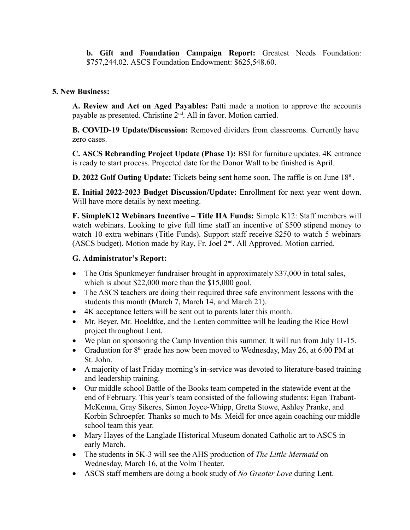**b. Gift and Foundation Campaign Report:** Greatest Needs Foundation: \$757,244.02. ASCS Foundation Endowment: \$625,548.60.

#### **5. New Business:**

**A. Review and Act on Aged Payables:** Patti made a motion to approve the accounts payable as presented. Christine  $2<sup>nd</sup>$ . All in favor. Motion carried.

**B. COVID-19 Update/Discussion:** Removed dividers from classrooms. Currently have zero cases.

**C. ASCS Rebranding Project Update (Phase 1):** BSI for furniture updates. 4K entrance is ready to start process. Projected date for the Donor Wall to be finished is April.

**D.** 2022 Golf Outing Update: Tickets being sent home soon. The raffle is on June 18<sup>th</sup>.

**E. Initial 2022-2023 Budget Discussion/Update:** Enrollment for next year went down. Will have more details by next meeting.

**F. SimpleK12 Webinars Incentive – Title IIA Funds:** Simple K12: Staff members will watch webinars. Looking to give full time staff an incentive of \$500 stipend money to watch 10 extra webinars (Title Funds). Support staff receive \$250 to watch 5 webinars (ASCS budget). Motion made by Ray, Fr. Joel 2nd. All Approved. Motion carried.

### **G. Administrator's Report:**

- The Otis Spunkmeyer fundraiser brought in approximately \$37,000 in total sales, which is about \$22,000 more than the \$15,000 goal.
- The ASCS teachers are doing their required three safe environment lessons with the students this month (March 7, March 14, and March 21).
- 4K acceptance letters will be sent out to parents later this month.
- Mr. Beyer, Mr. Hoeldtke, and the Lenten committee will be leading the Rice Bowl project throughout Lent.
- We plan on sponsoring the Camp Invention this summer. It will run from July 11-15.
- Graduation for  $8<sup>th</sup>$  grade has now been moved to Wednesday, May 26, at 6:00 PM at St. John.
- A majority of last Friday morning's in-service was devoted to literature-based training and leadership training.
- Our middle school Battle of the Books team competed in the statewide event at the end of February. This year's team consisted of the following students: Egan Trabant-McKenna, Gray Sikeres, Simon Joyce-Whipp, Gretta Stowe, Ashley Pranke, and Korbin Schroepfer. Thanks so much to Ms. Meidl for once again coaching our middle school team this year.
- Mary Hayes of the Langlade Historical Museum donated Catholic art to ASCS in early March.
- The students in 5K-3 will see the AHS production of *The Little Mermaid* on Wednesday, March 16, at the Volm Theater.
- ASCS staff members are doing a book study of *No Greater Love* during Lent.